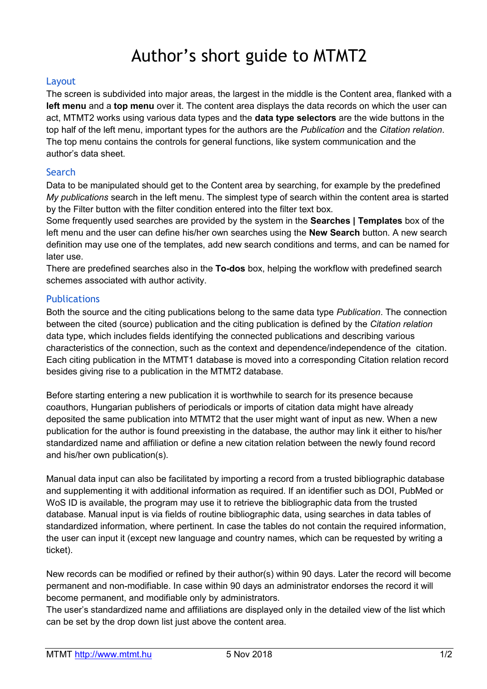# Author's short guide to MTMT2

## Layout

The screen is subdivided into major areas, the largest in the middle is the Content area, flanked with a **left menu** and a **top menu** over it. The content area displays the data records on which the user can act, MTMT2 works using various data types and the **data type selectors** are the wide buttons in the top half of the left menu, important types for the authors are the *Publication* and the *Citation relation*. The top menu contains the controls for general functions, like system communication and the author's data sheet.

# Search

Data to be manipulated should get to the Content area by searching, for example by the predefined *My publications* search in the left menu. The simplest type of search within the content area is started by the Filter button with the filter condition entered into the filter text box.

Some frequently used searches are provided by the system in the **Searches | Templates** box of the left menu and the user can define his/her own searches using the **New Search** button. A new search definition may use one of the templates, add new search conditions and terms, and can be named for later use.

There are predefined searches also in the **To-dos** box, helping the workflow with predefined search schemes associated with author activity.

## **Publications**

Both the source and the citing publications belong to the same data type *Publication*. The connection between the cited (source) publication and the citing publication is defined by the *Citation relation* data type, which includes fields identifying the connected publications and describing various characteristics of the connection, such as the context and dependence/independence of the citation. Each citing publication in the MTMT1 database is moved into a corresponding Citation relation record besides giving rise to a publication in the MTMT2 database.

Before starting entering a new publication it is worthwhile to search for its presence because coauthors, Hungarian publishers of periodicals or imports of citation data might have already deposited the same publication into MTMT2 that the user might want of input as new. When a new publication for the author is found preexisting in the database, the author may link it either to his/her standardized name and affiliation or define a new citation relation between the newly found record and his/her own publication(s).

Manual data input can also be facilitated by importing a record from a trusted bibliographic database and supplementing it with additional information as required. If an identifier such as DOI, PubMed or WoS ID is available, the program may use it to retrieve the bibliographic data from the trusted database. Manual input is via fields of routine bibliographic data, using searches in data tables of standardized information, where pertinent. In case the tables do not contain the required information, the user can input it (except new language and country names, which can be requested by writing a ticket).

New records can be modified or refined by their author(s) within 90 days. Later the record will become permanent and non-modifiable. In case within 90 days an administrator endorses the record it will become permanent, and modifiable only by administrators.

The user's standardized name and affiliations are displayed only in the detailed view of the list which can be set by the drop down list just above the content area.